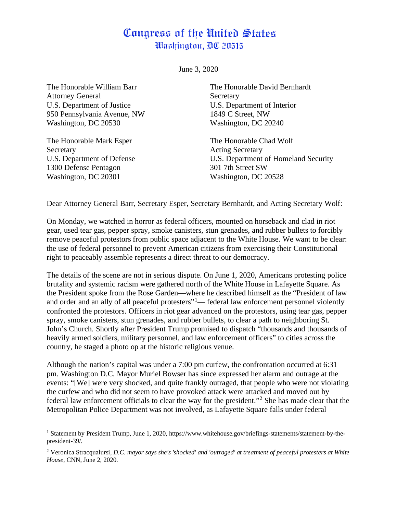## Congress of the United States Washington, DC 20515

June 3, 2020

The Honorable William Barr Attorney General U.S. Department of Justice 950 Pennsylvania Avenue, NW Washington, DC 20530

The Honorable Mark Esper Secretary U.S. Department of Defense 1300 Defense Pentagon Washington, DC 20301

The Honorable David Bernhardt **Secretary** U.S. Department of Interior 1849 C Street, NW Washington, DC 20240

The Honorable Chad Wolf Acting Secretary U.S. Department of Homeland Security 301 7th Street SW Washington, DC 20528

Dear Attorney General Barr, Secretary Esper, Secretary Bernhardt, and Acting Secretary Wolf:

On Monday, we watched in horror as federal officers, mounted on horseback and clad in riot gear, used tear gas, pepper spray, smoke canisters, stun grenades, and rubber bullets to forcibly remove peaceful protestors from public space adjacent to the White House. We want to be clear: the use of federal personnel to prevent American citizens from exercising their Constitutional right to peaceably assemble represents a direct threat to our democracy.

The details of the scene are not in serious dispute. On June 1, 2020, Americans protesting police brutality and systemic racism were gathered north of the White House in Lafayette Square. As the President spoke from the Rose Garden—where he described himself as the "President of law and order and an ally of all peaceful protesters"<sup>[1](#page-0-0)</sup>—federal law enforcement personnel violently confronted the protestors. Officers in riot gear advanced on the protestors, using tear gas, pepper spray, smoke canisters, stun grenades, and rubber bullets, to clear a path to neighboring St. John's Church. Shortly after President Trump promised to dispatch "thousands and thousands of heavily armed soldiers, military personnel, and law enforcement officers" to cities across the country, he staged a photo op at the historic religious venue.

Although the nation's capital was under a 7:00 pm curfew, the confrontation occurred at 6:31 pm. Washington D.C. Mayor Muriel Bowser has since expressed her alarm and outrage at the events: "[We] were very shocked, and quite frankly outraged, that people who were not violating the curfew and who did not seem to have provoked attack were attacked and moved out by federal law enforcement officials to clear the way for the president."[2](#page-0-1) She has made clear that the Metropolitan Police Department was not involved, as Lafayette Square falls under federal

<span id="page-0-0"></span><sup>&</sup>lt;sup>1</sup> Statement by President Trump, June 1, 2020, https://www.whitehouse.gov/briefings-statements/statement-by-thepresident-39/.

<span id="page-0-1"></span><sup>2</sup> Veronica Stracqualursi, *D.C. mayor says she's 'shocked' and 'outraged' at treatment of peaceful protesters at White House*, CNN, June 2, 2020.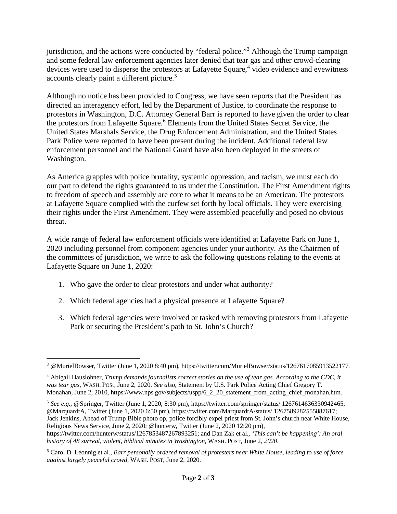jurisdiction, and the actions were conducted by "federal police."<sup>[3](#page-1-0)</sup> Although the Trump campaign and some federal law enforcement agencies later denied that tear gas and other crowd-clearing devices were used to disperse the protestors at Lafayette Square,<sup>[4](#page-1-1)</sup> video evidence and eyewitness accounts clearly paint a different picture.<sup>[5](#page-1-2)</sup>

Although no notice has been provided to Congress, we have seen reports that the President has directed an interagency effort, led by the Department of Justice, to coordinate the response to protestors in Washington, D.C. Attorney General Barr is reported to have given the order to clear the protestors from Lafayette Square.[6](#page-1-3) Elements from the United States Secret Service, the United States Marshals Service, the Drug Enforcement Administration, and the United States Park Police were reported to have been present during the incident. Additional federal law enforcement personnel and the National Guard have also been deployed in the streets of Washington.

As America grapples with police brutality, systemic oppression, and racism, we must each do our part to defend the rights guaranteed to us under the Constitution. The First Amendment rights to freedom of speech and assembly are core to what it means to be an American. The protestors at Lafayette Square complied with the curfew set forth by local officials. They were exercising their rights under the First Amendment. They were assembled peacefully and posed no obvious threat.

A wide range of federal law enforcement officials were identified at Lafayette Park on June 1, 2020 including personnel from component agencies under your authority. As the Chairmen of the committees of jurisdiction, we write to ask the following questions relating to the events at Lafayette Square on June 1, 2020:

- 1. Who gave the order to clear protestors and under what authority?
- 2. Which federal agencies had a physical presence at Lafayette Square?
- 3. Which federal agencies were involved or tasked with removing protestors from Lafayette Park or securing the President's path to St. John's Church?

<span id="page-1-2"></span><sup>5</sup> *See e.g.*, @Springer, Twitter (June 1, 2020, 8:30 pm), https://twitter.com/springer/status/ 1267614636330942465; @MarquardtA, Twitter (June 1, 2020 6:50 pm), https://twitter.com/MarquardtA/status/ 1267589282555887617; Jack Jenkins, Ahead of Trump Bible photo op, police forcibly expel priest from St. John's church near White House, Religious News Service, June 2, 2020; @hunterw, Twitter (June 2, 2020 12:20 pm), https://twitter.com/hunterw/status/1267853487267893251; and Dan Zak et al., *'This can't be happening': An oral history of 48 surreal, violent, biblical minutes in Washington*, WASH. POST, June 2, *2020*.

<span id="page-1-0"></span><sup>3</sup> @MurielBowser, Twitter (June 1, 2020 8:40 pm), https://twitter.com/MurielBowser/status/1267617085913522177.

<span id="page-1-1"></span><sup>4</sup> Abigail Hauslohner, *Trump demands journalists correct stories on the use of tear gas. According to the CDC, it was tear gas,* WASH. POSt, June 2, 2020. *See also,* Statement by U.S. Park Police Acting Chief Gregory T. Monahan, June 2, 2010, https://www.nps.gov/subjects/uspp/6\_2\_20\_statement\_from\_acting\_chief\_monahan.htm.

<span id="page-1-3"></span><sup>6</sup> Carol D. Leonnig et al., *Barr personally ordered removal of protesters near White House, leading to use of force against largely peaceful crowd*, WASH. POST, June 2, 2020.